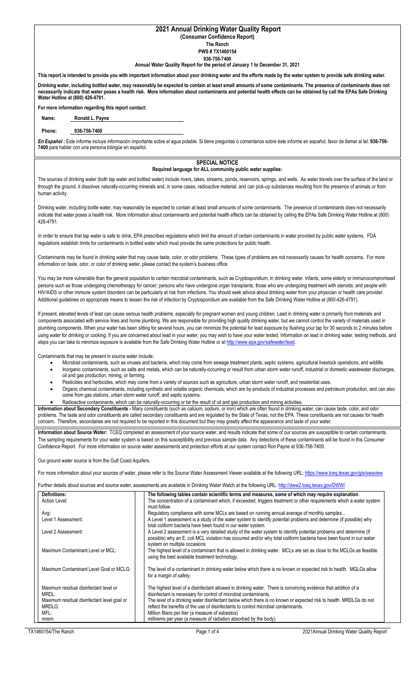## **2021 Annual Drinking Water Quality Report**

**(Consumer Confidence Report) The Ranch**

**PWS # TX1460154**

**936-756-7400**

## **Annual Water Quality Report for the period of January 1 to December 31, 2021**

**This report is intended to provide you with important information about your drinking water and the efforts made by the water system to provide safe drinking water.**

**Drinking water, including bottled water, may reasonably be expected to contain at least small amounts of some contaminants. The presence of contaminants does not necessarily indicate that water poses a health risk. More information about contaminants and potential health effects can be obtained by call the EPAs Safe Drinking Water Hotline at (800) 426-4791.**

**For more information regarding this report contact:**

|  | Name: | Ronald L. Payne |  |
|--|-------|-----------------|--|
|--|-------|-----------------|--|

## **Phone: 936-756-7400**

*En Español :* Este informe incluye información importante sobre el agua potable. Si tiene preguntas o comentarios sobre éste informe en español, favor de llamar al tel. **936-756- 7400** para hablar con una persona bilingüe en español.

## **SPECIAL NOTICE Required language for ALL community public water supplies:**

The sources of drinking water (both tap water and bottled water) include rivers, lakes, streams, ponds, reservoirs, springs, and wells. As water travels over the surface of the land or through the ground, it dissolves naturally-occurring minerals and, in some cases, radioactive material, and can pick-up substances resulting from the presence of animals or from human activity.

Drinking water, including bottle water, may reasonably be expected to contain at least small amounts of some contaminants. The presence of contaminants does not necessarily indicate that water poses a health risk. More information about contaminants and potential health effects can be obtained by calling the EPAs Safe Drinking Water Hotline at (800) 426-4791.

In order to ensure that tap water is safe to drink, EPA prescribes regulations which limit the amount of certain contaminants in water provided by public water systems. FDA regulations establish limits for contaminants in bottled water which must provide the same protections for public health.

Contaminants may be found in drinking water that may cause taste, color, or odor problems. These types of problems are not necessarily causes for health concerns. For more information on taste, odor, or color of drinking water, please contact the system's business office.

You may be more vulnerable than the general population to certain microbial contaminants, such as Cryptosporidium, in drinking water. Infants, some elderly or immunocompromised persons such as those undergoing chemotherapy for cancer; persons who have undergone organ transplants; those who are undergoing treatment with steroids; and people with HIV/AIDS or other immune system disorders can be particularly at risk from infections. You should seek advice about drinking water from your physician or health care provider. Additional guidelines on appropriate means to lessen the risk of infection by Cryptosporidium are available from the Safe Drinking Water Hotline at (800-426-4791).

If present, elevated levels of lead can cause serious health problems, especially for pregnant women and young children. Lead in drinking water is primarily from materials and components associated with service lines and home plumbing. We are responsible for providing high quality drinking water, but we cannot control the variety of materials used in plumbing components. When your water has been sitting for several hours, you can minimize the potential for lead exposure by flushing your tap for 30 seconds to 2 minutes before using water for drinking or cooking. If you are concerned about lead in your water, you may wish to have your water tested. Information on lead in drinking water, testing methods, and steps you can take to minimize exposure is available from the Safe Drinking Water Hotline or a[t http://www.epa.gov/safewater/lead.](http://www.epa.gov/safewater/lead)

Contaminants that may be present in source water include:

- Microbial contaminants, such as viruses and bacteria, which may come from sewage treatment plants, septic systems, agricultural livestock operations, and wildlife.
- Inorganic contaminants, such as salts and metals, which can be naturally-occurring or result from urban storm water runoff, industrial or domestic wastewater discharges,
- oil and gas production, mining, or farming.
- Pesticides and herbicides, which may come from a variety of sources such as agriculture, urban storm water runoff, and residential uses.
- Organic chemical contaminants, including synthetic and volatile organic chemicals, which are by-products of industrial processes and petroleum production, and can also come from gas stations, urban storm water runoff, and septic systems.
- Radioactive contaminants, which can be naturally-occurring or be the result of oil and gas production and mining activities.

**Information about Secondary Constituents -** Many constituents (such as calcium, sodium, or iron) which are often found in drinking water, can cause taste, color, and odor problems. The taste and odor constituents are called secondary constituents and are regulated by the State of Texas, not the EPA. These constituents are not causes for health concern. Therefore, secondaries are not required to be reported in this document but they may greatly affect the appearance and taste of your water.

**Information about Source Water:** TCEQ completed an assessment of your source water, and results indicate that some of our sources are susceptible to certain contaminants. The sampling requirements for your water system is based on this susceptibility and previous sample data. Any detections of these contaminants will be found in this Consumer Confidence Report. For more information on source water assessments and protection efforts at our system contact Ron Payne at 936-756-7400.

Our ground water source is from the Gulf Coast Aquifers.

For more information about your sources of water, please refer to the Source Water Assessment Viewer available at the following URL: https://www.tceg.texas.gov/gis/swaview

Further details about sources and source water, assessments are available in Drinking Water Watch at the following URL: http://dww2.tceg.texas.gov/DWW/

| Definitions:                                    | The following tables contain scientific terms and measures, some of which may require explanation.                                                                                                                                                                        |
|-------------------------------------------------|---------------------------------------------------------------------------------------------------------------------------------------------------------------------------------------------------------------------------------------------------------------------------|
| Action Level:                                   | The concentration of a contaminant which, if exceeded, triggers treatment or other requirements which a water system<br>must follow.                                                                                                                                      |
| Avg:                                            | Regulatory compliance with some MCLs are based on running annual average of monthly samples                                                                                                                                                                               |
| Level 1 Assessment:                             | A Level 1 assessment is a study of the water system to identify potential problems and determine (if possible) why<br>total coliform bacteria have been found in our water system.                                                                                        |
| Level 2 Assessment:                             | A Level 2 assessment is a very detailed study of the water system to identify potential problems and determine (if<br>possible) why an E. coli MCL violation has occurred and/or why total coliform bacteria have been found in our water<br>system on multiple occasions |
| Maximum Contaminant Level or MCL:               | The highest level of a contaminant that is allowed in drinking water. MCLs are set as close to the MCLGs as feasible<br>using the best available treatment technology.                                                                                                    |
| Maximum Contaminant Level Goal or MCLG:         | The level of a contaminant in drinking water below which there is no known or expected risk to health. MGLGs allow<br>for a margin of safety.                                                                                                                             |
| Maximum residual disinfectant level or<br>MRDL: | The highest level of a disinfectant allowed in drinking water. There is convincing evidence that addition of a<br>disinfectant is necessary for control of microbial contaminants.                                                                                        |
| Maximum residual disinfectant level goal or     | The level of a drinking water disinfectant below which there is no known or expected risk to health. MRDLGs do not                                                                                                                                                        |
| MRDLG:                                          | reflect the benefits of the use of disinfectants to control microbial contaminants.                                                                                                                                                                                       |
| MFL:                                            | Million fibers per liter (a measure of asbestos)                                                                                                                                                                                                                          |
| mrem:                                           | millirems per year (a measure of radiation absorbed by the body)                                                                                                                                                                                                          |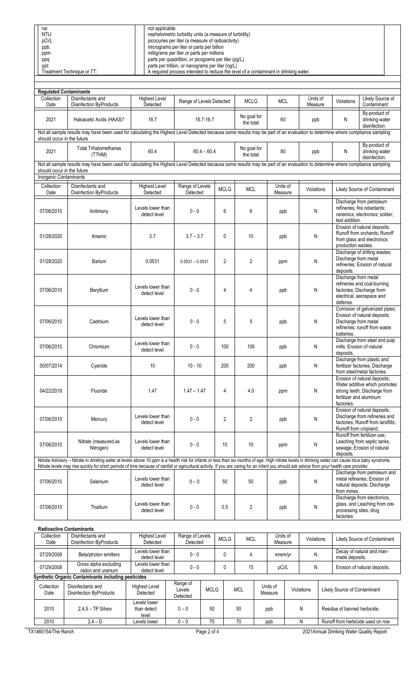| na:                        | not applicable.                                                                     |  |
|----------------------------|-------------------------------------------------------------------------------------|--|
| NTU:                       | nephelometric turbidity units (a measure of turbidity)                              |  |
| pCi/L                      | picocuries per liter (a measure of radioactivity)                                   |  |
| ppb:                       | micrograms per liter or parts per billion                                           |  |
| ppm:                       | milligrams per liter or parts per millions                                          |  |
| ppq:                       | parts per quadrillion, or picograms per liter (pg/L)                                |  |
| ppt:                       | parts per trillion, or nanograms per liter (ng/L)                                   |  |
| Treatment Technique or TT: | A required process intended to reduce the level of a contaminant in drinking water. |  |

| <b>Regulated Contaminants</b>                                                                                                                                                                               |                                                                                                                                                                                                                                                                                                                                                                                                       |                                   |                             |                |                          |                     |                     |                                       |                                                                                                    |  |  |  |
|-------------------------------------------------------------------------------------------------------------------------------------------------------------------------------------------------------------|-------------------------------------------------------------------------------------------------------------------------------------------------------------------------------------------------------------------------------------------------------------------------------------------------------------------------------------------------------------------------------------------------------|-----------------------------------|-----------------------------|----------------|--------------------------|---------------------|---------------------|---------------------------------------|----------------------------------------------------------------------------------------------------|--|--|--|
| Collection<br>Date                                                                                                                                                                                          | Disinfectants and<br>Disinfection ByProducts                                                                                                                                                                                                                                                                                                                                                          | <b>Highest Level</b><br>Detected  | Range of Levels Detected    |                | <b>MCLG</b>              | <b>MCL</b>          | Units of<br>Measure | Violations                            | Likely Source of<br>Contaminant                                                                    |  |  |  |
| 2021                                                                                                                                                                                                        | Haloacetic Acids (HAAS)*                                                                                                                                                                                                                                                                                                                                                                              | 16.7                              | 16.7-16.7                   |                | No goal for<br>the total | 60                  | ppb                 | N                                     | By-product of<br>drinking water<br>disinfection.                                                   |  |  |  |
| Not all sample results may have been used for calculating the Highest Level Detected because some results may be part of an evaluation to determine where compliance sampling<br>should occur in the future |                                                                                                                                                                                                                                                                                                                                                                                                       |                                   |                             |                |                          |                     |                     |                                       |                                                                                                    |  |  |  |
| 2021                                                                                                                                                                                                        | <b>Total Trihalomethanes</b><br>(TTHM)                                                                                                                                                                                                                                                                                                                                                                | 60.4                              | $60.4 - 60.4$               |                | No goal for<br>the total | 80                  | ppb                 | N                                     | By-product of<br>drinking water<br>disinfection.                                                   |  |  |  |
| should occur in the future                                                                                                                                                                                  | Not all sample results may have been used for calculating the Highest Level Detected because some results may be part of an evaluation to determine where compliance sampling                                                                                                                                                                                                                         |                                   |                             |                |                          |                     |                     |                                       |                                                                                                    |  |  |  |
| Inorganic Contaminants                                                                                                                                                                                      |                                                                                                                                                                                                                                                                                                                                                                                                       |                                   |                             |                |                          |                     |                     |                                       |                                                                                                    |  |  |  |
| Collection<br>Date                                                                                                                                                                                          | Disinfectants and<br><b>Disinfection ByProducts</b>                                                                                                                                                                                                                                                                                                                                                   | <b>Highest Level</b><br>Detected  | Range of Levels<br>Detected | <b>MCLG</b>    | <b>MCL</b>               | Units of<br>Measure | Violations          |                                       | Likely Source of Contaminant                                                                       |  |  |  |
| 07/06/2010                                                                                                                                                                                                  | Antimony                                                                                                                                                                                                                                                                                                                                                                                              | Levels lower than<br>detect level | $0 - 0$                     | 6              | 6                        | ppb                 | N                   | test addition.                        | Discharge from petroleum<br>refineries; fire retardants;<br>ceramics; electronics; solder;         |  |  |  |
| 01/28/2020                                                                                                                                                                                                  | Arsenic                                                                                                                                                                                                                                                                                                                                                                                               | 3.7                               | $3.7 - 3.7$                 | 0              | 10                       | ppb                 | N                   | production wastes.                    | Erosion of natural deposits;<br>Runoff from orchards; Runoff<br>from glass and electronics         |  |  |  |
| 01/28/2020                                                                                                                                                                                                  | Barium                                                                                                                                                                                                                                                                                                                                                                                                | 0.0531                            | $0.0531 - 0.0531$           | $\overline{2}$ | $\overline{2}$           | ppm                 | ${\sf N}$           | Discharge from metal<br>deposits.     | Discharge of drilling wastes;<br>refineries; Erosion of natural                                    |  |  |  |
| 07/06/2010                                                                                                                                                                                                  | Beryllium                                                                                                                                                                                                                                                                                                                                                                                             | Levels lower than<br>detect level | $0 - 0$                     | 4              | 4                        | ppb                 | N                   | Discharge from metal<br>defense.      | refineries and coal-burning<br>factories; Discharge from<br>electrical, aerospace and              |  |  |  |
| 07/06/2010                                                                                                                                                                                                  | Cadmium                                                                                                                                                                                                                                                                                                                                                                                               | Levels lower than<br>detect level | $0 - 0$                     | 5              | 5                        | ppb                 | N                   | Discharge from metal<br>batteries.    | Corrosion of galvanized pipes;<br>Erosion of natural deposits;<br>refineries; runoff from waste    |  |  |  |
| 07/06/2010                                                                                                                                                                                                  | Chromium                                                                                                                                                                                                                                                                                                                                                                                              | Levels lower than<br>detect level | $0 - 0$                     | 100            | 100                      | ppb                 | N                   | deposits.                             | Discharge from steel and pulp<br>mills; Erosion of natural                                         |  |  |  |
| 05/07/2014                                                                                                                                                                                                  | Cyanide                                                                                                                                                                                                                                                                                                                                                                                               | 10                                | $10 - 10$                   | 200            | 200                      | ppb                 | N                   |                                       | Discharge from plastic and<br>fertilizer factories; Discharge<br>from steel/metal factories.       |  |  |  |
| 04/22/2019                                                                                                                                                                                                  | Fluoride                                                                                                                                                                                                                                                                                                                                                                                              | 1.47                              | $1.47 - 1.47$               | 4              | 4.0                      | ppm                 | N                   | fertilizer and aluminum<br>factories. | Erosion of natural deposits;<br>Water additive which promotes<br>strong teeth; Discharge from      |  |  |  |
| 07/06/2010                                                                                                                                                                                                  | Mercury                                                                                                                                                                                                                                                                                                                                                                                               | Levels lower than<br>detect level | $0 - 0$                     | $\overline{2}$ | 2                        | ppb                 | N                   | Runoff from cropland.                 | Erosion of natural deposits;<br>Discharge from refineries and<br>factories; Runoff from landfills; |  |  |  |
| 07/06/2010                                                                                                                                                                                                  | Nitrate (measured as<br>Nitrogen)                                                                                                                                                                                                                                                                                                                                                                     | Levels lower than<br>detect level | $0 - 0$                     | 10             | 10                       | ppm                 | ${\sf N}$           | deposits.                             | Runoff from fertilizer use;<br>Leaching from septic tanks,<br>sewage; Erosion of natural           |  |  |  |
|                                                                                                                                                                                                             | Nitrate Advisory - Nitrate in drinking water at levels above 10 ppm is a health risk for infants or less than six months of age. High nitrate levels in drinking water can cause blue baby syndrome.<br>Nitrate levels may rise quickly for short periods of time because of rainfall or agricultural activity. If you are caring for an infant you should ask advice from your health care provider. |                                   |                             |                |                          |                     |                     |                                       |                                                                                                    |  |  |  |
| 07/06/2010                                                                                                                                                                                                  | Selenium                                                                                                                                                                                                                                                                                                                                                                                              | Levels lower than<br>detect level | $0 - 0$                     | 50             | 50                       | ppb                 | N                   | from mines.                           | Discharge from petroleum and<br>metal refineries; Erosion of<br>natural deposits; Discharge        |  |  |  |
| 07/06/2010                                                                                                                                                                                                  | Thallium                                                                                                                                                                                                                                                                                                                                                                                              | Levels lower than<br>detect level | $0 - 0$                     | 0.5            | 2                        | ppb                 | N                   | processing sites; drug<br>factories.  | Discharge from electronics,<br>glass, and Leaching from ore-                                       |  |  |  |
|                                                                                                                                                                                                             | Radioactive Contaminante                                                                                                                                                                                                                                                                                                                                                                              |                                   |                             |                |                          |                     |                     |                                       |                                                                                                    |  |  |  |

| Radioactive Contaminants                                   |                                              |                                      |                                |             |             |            |       |                     |  |            |                              |                                             |
|------------------------------------------------------------|----------------------------------------------|--------------------------------------|--------------------------------|-------------|-------------|------------|-------|---------------------|--|------------|------------------------------|---------------------------------------------|
| Collection<br>Date                                         | Disinfectants and<br>Disinfection ByProducts | Highest Level<br>Detected            | Range of Levels<br>Detected    |             | <b>MCLG</b> | <b>MCL</b> |       | Units of<br>Measure |  | Violations |                              | Likely Source of Contaminant                |
| 07/29/2008                                                 | Beta/photon emitters                         | Levels lower than<br>detect level    | $0 - 0$                        |             |             | 4          |       | mrem/yr             |  | N          |                              | Decay of natural and man-<br>made deposits. |
| 07/29/2008                                                 | Gross alpha excluding<br>radon and uranium   | Levels lower than<br>detect level    | $0 - 0$                        |             |             | 15         | pCi/L |                     |  | N          |                              | Erosion of natural deposits.                |
| <b>Synthetic Organic Contaminants including pesticides</b> |                                              |                                      |                                |             |             |            |       |                     |  |            |                              |                                             |
| Collection<br>Date                                         | Disinfectants and<br>Disinfection ByProducts | <b>Highest Level</b><br>Detected     | Range of<br>Levels<br>Detected | <b>MCLG</b> |             | <b>MCL</b> |       | Units of<br>Measure |  | Violations | Likely Source of Contaminant |                                             |
| 2010                                                       | $2.4.5 - TP$ Silvex                          | Levels lower<br>than detect<br>level | $0 - 0$                        | 50          |             | 50         |       | ppb                 |  | N          | Residue of banned herbicide. |                                             |
| 2010                                                       | $2.4 - D$                                    | Levels lower                         | $0 - 0$                        | 70          |             | 70         |       | ppb<br>N            |  |            |                              | Runoff from herbicide used on row           |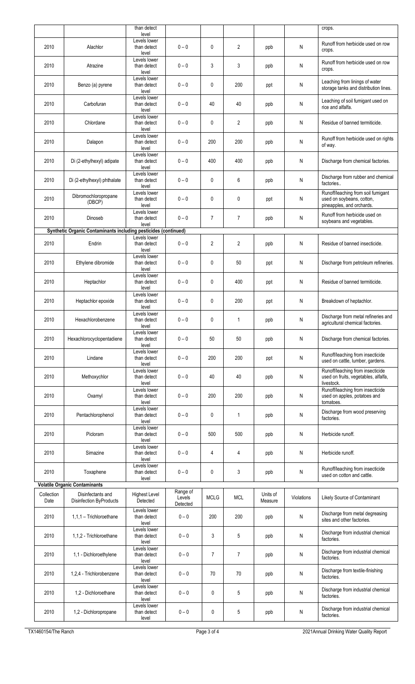|                    |                                                                 | than detect                          |                    |                |                |                     |            | crops.                                                                                       |
|--------------------|-----------------------------------------------------------------|--------------------------------------|--------------------|----------------|----------------|---------------------|------------|----------------------------------------------------------------------------------------------|
|                    |                                                                 | level<br>Levels lower                |                    |                |                |                     |            | Runoff from herbicide used on row                                                            |
| 2010               | Alachlor                                                        | than detect<br>level<br>Levels lower | $0 - 0$            | $\mathbf{0}$   | $\overline{2}$ | ppb                 | N          | crops.                                                                                       |
| 2010               | Atrazine                                                        | than detect<br>level                 | $0 - 0$            | 3              | 3              | ppb                 | N          | Runoff from herbicide used on row<br>crops.                                                  |
| 2010               | Benzo (a) pyrene                                                | Levels lower<br>than detect<br>level | $0 - 0$            | 0              | 200            | ppt                 | N          | Leaching from linings of water<br>storage tanks and distribution lines.                      |
| 2010               | Carbofuran                                                      | Levels lower<br>than detect<br>level | $0 - 0$            | 40             | 40             | ppb                 | N          | Leaching of soil fumigant used on<br>rice and alfalfa.                                       |
| 2010               | Chlordane                                                       | Levels lower<br>than detect<br>level | $0 - 0$            | 0              | 2              | ppb                 | N          | Residue of banned termiticide.                                                               |
| 2010               | Dalapon                                                         | Levels lower<br>than detect<br>level | $0 - 0$            | 200            | 200            | ppb                 | N          | Runoff from herbicide used on rights<br>of way.                                              |
| 2010               | Di (2-ethylhexyl) adipate                                       | Levels lower<br>than detect<br>level | $0 - 0$            | 400            | 400            | ppb                 | N          | Discharge from chemical factories.                                                           |
| 2010               | Di (2-ethylhexyl) phthalate                                     | Levels lower<br>than detect<br>level | $0 - 0$            | 0              | 6              | ppb                 | N          | Discharge from rubber and chemical<br>factories                                              |
| 2010               | Dibromochloropropane<br>(DBCP)                                  | Levels lower<br>than detect<br>level | $0 - 0$            | 0              | 0              | ppt                 | N          | Runoff/leaching from soil fumigant<br>used on soybeans, cotton,<br>pineapples, and orchards. |
| 2010               | Dinoseb                                                         | Levels lower<br>than detect<br>level | $0 - 0$            | $\overline{7}$ | $\overline{7}$ | ppb                 | N          | Runoff from herbicide used on<br>soybeans and vegetables.                                    |
|                    | Synthetic Organic Contaminants including pesticides (continued) |                                      |                    |                |                |                     |            |                                                                                              |
| 2010               | Endrin                                                          | Levels lower<br>than detect<br>level | $0 - 0$            | $\mathbf{2}$   | 2              | ppb                 | N          | Residue of banned insecticide.                                                               |
| 2010               | Ethylene dibromide                                              | Levels lower<br>than detect<br>level | $0 - 0$            | 0              | 50             | ppt                 | N          | Discharge from petroleum refineries.                                                         |
| 2010               | Heptachlor                                                      | Levels lower<br>than detect<br>level | $0 - 0$            | 0              | 400            | ppt                 | N          | Residue of banned termiticide.                                                               |
| 2010               | Heptachlor epoxide                                              | Levels lower<br>than detect<br>level | $0 - 0$            | 0              | 200            | ppt                 | N          | Breakdown of heptachlor.                                                                     |
| 2010               | Hexachlorobenzene                                               | Levels lower<br>than detect<br>level | $0 - 0$            | 0              | 1              | ppb                 | N          | Discharge from metal refineries and<br>agricultural chemical factories.                      |
| 2010               | Hexachlorocyclopentadiene                                       | Levels lower<br>than detect<br>level | $0 - 0$            | 50             | 50             | ppb                 | N          | Discharge from chemical factories.                                                           |
| 2010               | Lindane                                                         | Levels lower<br>than detect<br>level | $0 - 0$            | 200            | 200            | ppt                 | N          | Runoff/leaching from insecticide<br>used on cattle, lumber, gardens.                         |
| 2010               | Methoxychlor                                                    | Levels lower<br>than detect<br>level | $0 - 0$            | 40             | 40             | ppb                 | N          | Runoff/leaching from insecticide<br>used on fruits, vegetables, alfalfa,<br>livestock.       |
| 2010               | Oxamyl                                                          | Levels lower<br>than detect<br>level | $0 - 0$            | 200            | 200            | ppb                 | N          | Runoff/leaching from insecticide<br>used on apples, potatoes and<br>tomatoes.                |
| 2010               | Pentachlorophenol                                               | Levels lower<br>than detect<br>level | $0 - 0$            | 0              | 1              | ppb                 | N          | Discharge from wood preserving<br>factories.                                                 |
| 2010               | Picloram                                                        | Levels lower<br>than detect<br>level | $0 - 0$            | 500            | 500            | ppb                 | N          | Herbicide runoff.                                                                            |
| 2010               | Simazine                                                        | Levels lower<br>than detect<br>level | $0 - 0$            | 4              | 4              | ppb                 | N          | Herbicide runoff.                                                                            |
| 2010               | Toxaphene                                                       | Levels lower<br>than detect<br>level | $0 - 0$            | 0              | 3              | ppb                 | N          | Runoff/leaching from insecticide<br>used on cotton and cattle.                               |
|                    | <b>Volatile Organic Contaminants</b>                            |                                      | Range of           |                |                |                     |            |                                                                                              |
| Collection<br>Date | Disinfectants and<br><b>Disinfection ByProducts</b>             | <b>Highest Level</b><br>Detected     | Levels<br>Detected | <b>MCLG</b>    | <b>MCL</b>     | Units of<br>Measure | Violations | Likely Source of Contaminant                                                                 |
| 2010               | 1,1,1 - Trichloroethane                                         | Levels lower<br>than detect<br>level | $0 - 0$            | 200            | 200            | ppb                 | N          | Discharge from metal degreasing<br>sites and other factories.                                |
| 2010               | 1,1,2 - Trichloroethane                                         | Levels lower<br>than detect<br>level | $0 - 0$            | 3              | 5              | ppb                 | N          | Discharge from industrial chemical<br>factories.                                             |
| 2010               | 1,1 - Dichloroethylene                                          | Levels lower<br>than detect<br>level | $0 - 0$            | $\overline{7}$ | $\overline{7}$ | ppb                 | Ν          | Discharge from industrial chemical<br>factories.                                             |
| 2010               | 1,2,4 - Trichlorobenzene                                        | Levels lower<br>than detect<br>level | $0 - 0$            | 70             | 70             | ppb                 | N          | Discharge from textile-finishing<br>factories.                                               |
| 2010               | 1,2 - Dichloroethane                                            | Levels lower<br>than detect<br>level | $0 - 0$            | 0              | 5              | ppb                 | N          | Discharge from industrial chemical<br>factories.                                             |
| 2010               | 1,2 - Dichloropropane                                           | Levels lower<br>than detect<br>level | $0 - 0$            | 0              | 5              | ppb                 | N          | Discharge from industrial chemical<br>factories.                                             |